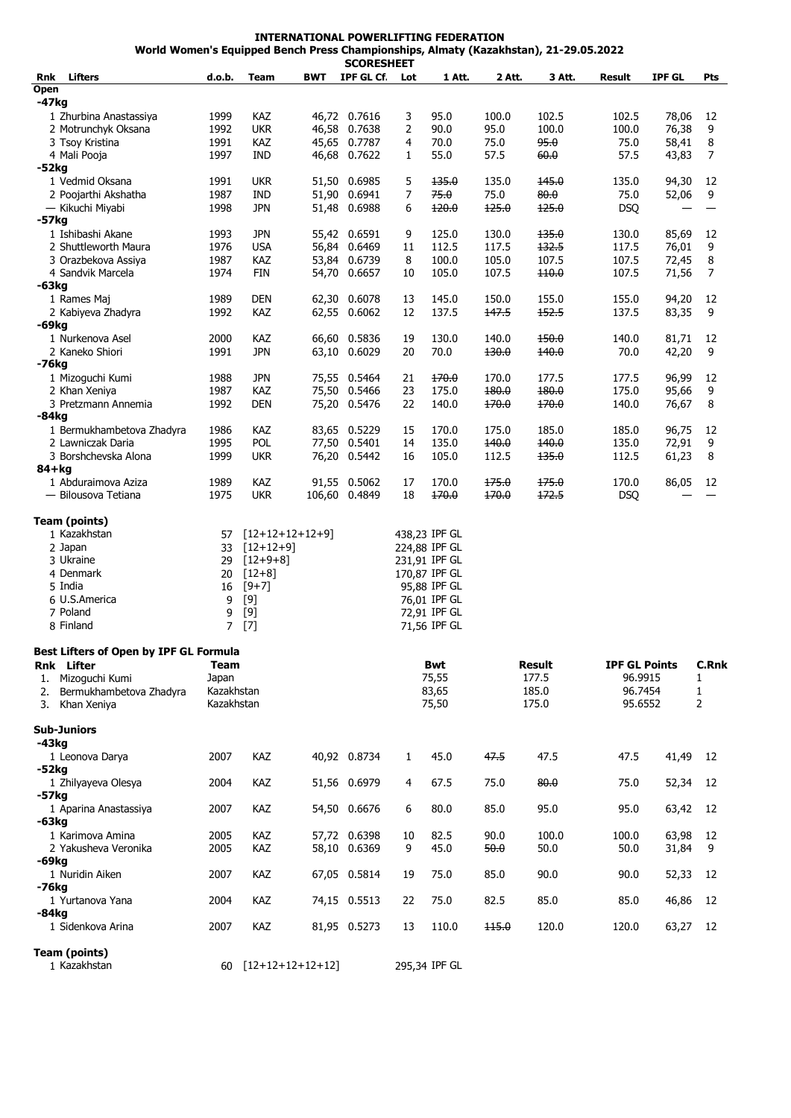**INTERNATIONAL POWERLIFTING FEDERATION World Women's Equipped Bench Press Championships, Almaty (Kazakhstan), 21-29.05.2022**

|                                           |                |                       |            | <b>SCORESHEET</b>            |                |                              |                |                |                      |                |              |
|-------------------------------------------|----------------|-----------------------|------------|------------------------------|----------------|------------------------------|----------------|----------------|----------------------|----------------|--------------|
| <b>Lifters</b><br>Rnk                     | d.o.b.         | Team                  | <b>BWT</b> | IPF GL Cf                    | Lot            | 1 Att.                       | 2 Att.         | 3 Att.         | Result               | <b>IPF GL</b>  | Pts          |
| Open                                      |                |                       |            |                              |                |                              |                |                |                      |                |              |
| -47kg<br>1 Zhurbina Anastassiya           | 1999           | KAZ                   |            | 46,72 0.7616                 | 3              | 95.0                         | 100.0          | 102.5          | 102.5                | 78,06          | 12           |
| 2 Motrunchyk Oksana                       | 1992           | <b>UKR</b>            |            | 46,58 0.7638                 | 2              | 90.0                         | 95.0           | 100.0          | 100.0                | 76,38          | 9            |
| 3 Tsoy Kristina                           | 1991           | <b>KAZ</b>            |            | 45,65 0.7787                 | 4              | 70.0                         | 75.0           | 95.0           | 75.0                 | 58,41          | 8            |
| 4 Mali Pooja                              | 1997           | <b>IND</b>            |            | 46,68 0.7622                 | 1              | 55.0                         | 57.5           | 60.0           | 57.5                 | 43,83          | 7            |
| $-52kg$                                   |                |                       |            |                              |                |                              |                |                |                      |                |              |
| 1 Vedmid Oksana                           | 1991           | <b>UKR</b>            |            | 51,50 0.6985                 | 5              | 135.0                        | 135.0          | 145.0          | 135.0                | 94,30          | 12           |
| 2 Poojarthi Akshatha                      | 1987           | <b>IND</b>            |            | 51,90 0.6941                 | $\overline{7}$ | 75.0                         | 75.0           | 80.0           | 75.0                 | 52,06          | 9            |
| — Kikuchi Miyabi                          | 1998           | <b>JPN</b>            |            | 51,48 0.6988                 | 6              | 120.0                        | 125.0          | 125.0          | <b>DSQ</b>           |                |              |
| -57kg                                     |                |                       |            |                              |                |                              |                |                |                      |                |              |
| 1 Ishibashi Akane                         | 1993           | <b>JPN</b>            |            | 55,42 0.6591                 | 9              | 125.0                        | 130.0          | 135.0          | 130.0                | 85,69          | 12           |
| 2 Shuttleworth Maura                      | 1976           | <b>USA</b>            |            | 56,84 0.6469                 | 11             | 112.5                        | 117.5          | 132.5          | 117.5                | 76,01          | 9            |
| 3 Orazbekova Assiya<br>4 Sandvik Marcela  | 1987<br>1974   | KAZ<br><b>FIN</b>     |            | 53,84 0.6739<br>54,70 0.6657 | 8<br>10        | 100.0<br>105.0               | 105.0<br>107.5 | 107.5<br>110.0 | 107.5<br>107.5       | 72,45<br>71,56 | 8<br>7       |
| $-63kg$                                   |                |                       |            |                              |                |                              |                |                |                      |                |              |
| 1 Rames Maj                               | 1989           | <b>DEN</b>            |            | 62,30 0.6078                 | 13             | 145.0                        | 150.0          | 155.0          | 155.0                | 94,20          | 12           |
| 2 Kabiyeva Zhadyra                        | 1992           | KAZ                   |            | 62,55 0.6062                 | 12             | 137.5                        | 147.5          | 152.5          | 137.5                | 83,35          | 9            |
| -69kg                                     |                |                       |            |                              |                |                              |                |                |                      |                |              |
| 1 Nurkenova Asel                          | 2000           | KAZ                   |            | 66,60 0.5836                 | 19             | 130.0                        | 140.0          | 150.0          | 140.0                | 81,71          | 12           |
| 2 Kaneko Shiori                           | 1991           | <b>JPN</b>            |            | 63,10 0.6029                 | 20             | 70.0                         | 130.0          | 140.0          | 70.0                 | 42,20          | 9            |
| -76kg                                     |                |                       |            |                              |                |                              |                |                |                      |                |              |
| 1 Mizoguchi Kumi                          | 1988           | <b>JPN</b>            |            | 75,55 0.5464                 | 21             | 170.0                        | 170.0          | 177.5          | 177.5                | 96,99          | 12           |
| 2 Khan Xeniya                             | 1987           | KAZ                   |            | 75,50 0.5466                 | 23             | 175.0                        | 180.0          | 180.0          | 175.0                | 95,66          | 9            |
| 3 Pretzmann Annemia                       | 1992           | <b>DEN</b>            |            | 75,20 0.5476                 | 22             | 140.0                        | 170.0          | 170.0          | 140.0                | 76,67          | 8            |
| $-84kg$                                   |                |                       |            |                              |                |                              |                |                |                      |                |              |
| 1 Bermukhambetova Zhadyra                 | 1986           | KAZ<br>POL            |            | 83,65 0.5229                 | 15             | 170.0                        | 175.0          | 185.0          | 185.0                | 96,75          | 12           |
| 2 Lawniczak Daria<br>3 Borshchevska Alona | 1995<br>1999   | <b>UKR</b>            |            | 77,50 0.5401<br>76,20 0.5442 | 14<br>16       | 135.0<br>105.0               | 140.0<br>112.5 | 140.0<br>135.0 | 135.0<br>112.5       | 72,91<br>61,23 | 9<br>8       |
| 84+kg                                     |                |                       |            |                              |                |                              |                |                |                      |                |              |
| 1 Abduraimova Aziza                       | 1989           | KAZ                   |            | 91,55 0.5062                 | 17             | 170.0                        | 175.0          | 175.0          | 170.0                | 86,05          | 12           |
| — Bilousova Tetiana                       | 1975           | <b>UKR</b>            |            | 106,60 0.4849                | 18             | 170.0                        | 170.0          | 172.5          | <b>DSQ</b>           |                |              |
|                                           |                |                       |            |                              |                |                              |                |                |                      |                |              |
| <b>Team (points)</b>                      |                |                       |            |                              |                |                              |                |                |                      |                |              |
| 1 Kazakhstan                              | 57             | $[12+12+12+12+9]$     |            |                              |                | 438,23 IPF GL                |                |                |                      |                |              |
| 2 Japan                                   | 33             | $[12+12+9]$           |            |                              |                | 224,88 IPF GL                |                |                |                      |                |              |
| 3 Ukraine                                 | 29             | $[12+9+8]$            |            |                              |                | 231,91 IPF GL                |                |                |                      |                |              |
| 4 Denmark<br>5 India                      | 20             | $[12+8]$              |            |                              |                | 170,87 IPF GL                |                |                |                      |                |              |
| 6 U.S.America                             | 16<br>9        | $[9+7]$<br>[9]        |            |                              |                | 95,88 IPF GL<br>76,01 IPF GL |                |                |                      |                |              |
| 7 Poland                                  | 9              | $[9]$                 |            |                              |                | 72,91 IPF GL                 |                |                |                      |                |              |
| 8 Finland                                 | $\overline{7}$ | $[7]$                 |            |                              |                | 71,56 IPF GL                 |                |                |                      |                |              |
|                                           |                |                       |            |                              |                |                              |                |                |                      |                |              |
| Best Lifters of Open by IPF GL Formula    |                |                       |            |                              |                |                              |                |                |                      |                |              |
| Rnk Lifter                                | Team           |                       |            |                              |                | Bwt                          |                | Result         | <b>IPF GL Points</b> |                | C.Rnk        |
| 1. Mizoguchi Kumi                         | Japan          |                       |            |                              |                | 75,55                        |                | 177.5          | 96.9915              |                | $\mathbf{1}$ |
| Bermukhambetova Zhadyra<br>2.             |                | Kazakhstan            |            |                              |                | 83,65                        | 185.0          |                | 96.7454              |                | 1            |
| Khan Xeniya<br>3.                         | Kazakhstan     |                       |            |                              |                | 75,50                        |                | 175.0          | 95.6552              |                | 2            |
| <b>Sub-Juniors</b>                        |                |                       |            |                              |                |                              |                |                |                      |                |              |
| -43kg                                     |                |                       |            |                              |                |                              |                |                |                      |                |              |
| 1 Leonova Darya                           | 2007           | <b>KAZ</b>            |            | 40,92 0.8734                 | 1              | 45.0                         | 47.5           | 47.5           | 47.5                 | 41,49          | 12           |
| $-52kg$                                   |                |                       |            |                              |                |                              |                |                |                      |                |              |
| 1 Zhilyayeva Olesya                       | 2004           | KAZ                   |            | 51,56 0.6979                 | 4              | 67.5                         | 75.0           | 80.0           | 75.0                 | 52,34          | 12           |
| -57kg                                     |                |                       |            |                              |                |                              |                |                |                      |                |              |
| 1 Aparina Anastassiya                     | 2007           | KAZ                   |            | 54,50 0.6676                 | 6              | 80.0                         | 85.0           | 95.0           | 95.0                 | 63,42          | -12          |
| -63kg                                     |                |                       |            |                              |                |                              |                |                |                      |                |              |
| 1 Karimova Amina                          | 2005           | KAZ                   |            | 57,72 0.6398                 | 10             | 82.5                         | 90.0           | 100.0          | 100.0                | 63,98          | 12           |
| 2 Yakusheva Veronika                      | 2005           | KAZ                   |            | 58,10 0.6369                 | 9              | 45.0                         | 50.0           | 50.0           | 50.0                 | 31,84          | 9            |
| -69kg                                     |                |                       |            |                              |                |                              |                |                |                      |                |              |
| 1 Nuridin Aiken                           | 2007           | KAZ                   |            | 67,05 0.5814                 | 19             | 75.0                         | 85.0           | 90.0           | 90.0                 | 52,33          | 12           |
| -76kg                                     |                |                       |            |                              |                |                              |                |                |                      |                |              |
| 1 Yurtanova Yana                          | 2004           | <b>KAZ</b>            |            | 74,15 0.5513                 | 22             | 75.0                         | 82.5           | 85.0           | 85.0                 | 46,86          | 12           |
| -84kg<br>1 Sidenkova Arina                | 2007           | KAZ                   |            | 81,95 0.5273                 |                | 110.0                        | 115.0          | 120.0          | 120.0                | 63,27          |              |
|                                           |                |                       |            |                              | 13             |                              |                |                |                      |                | 12           |
| <b>Team (points)</b>                      |                |                       |            |                              |                |                              |                |                |                      |                |              |
| 1 Kazakhstan                              |                | 60 $[12+12+12+12+12]$ |            |                              |                | 295,34 IPF GL                |                |                |                      |                |              |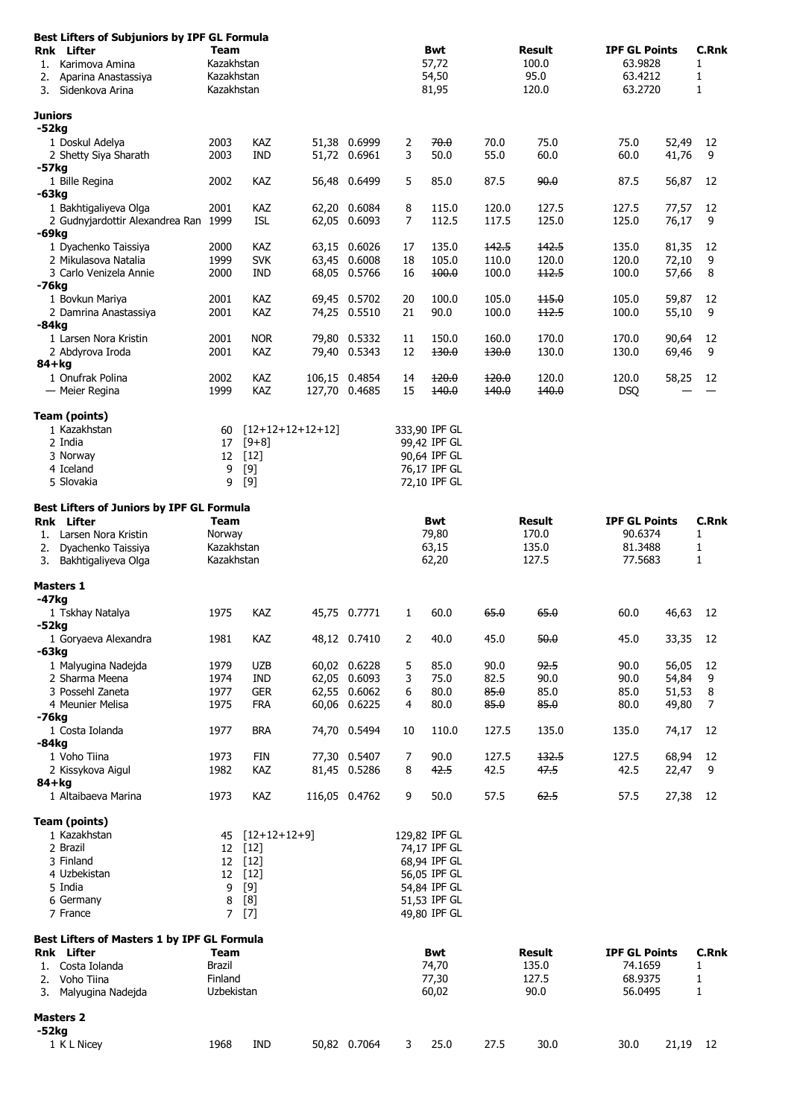| Best Lifters of Subjuniors by IPF GL Formula<br><b>Rnk</b> Lifter<br>1. Karimova Amina<br>2.<br>Aparina Anastassiya<br>Sidenkova Arina<br>3. | Team<br>Kazakhstan<br>Kazakhstan<br>Kazakhstan |                          |                    |                                | Bwt<br>57,72<br>54,50<br>81,95 |                               | Result<br>100.0<br>95.0<br>120.0 |                      | <b>IPF GL Points</b><br>63.9828<br>63.4212<br>63.2720 |                | <b>C.Rnk</b><br>1<br>1<br>$\mathbf{1}$ |  |
|----------------------------------------------------------------------------------------------------------------------------------------------|------------------------------------------------|--------------------------|--------------------|--------------------------------|--------------------------------|-------------------------------|----------------------------------|----------------------|-------------------------------------------------------|----------------|----------------------------------------|--|
| Juniors                                                                                                                                      |                                                |                          |                    |                                |                                |                               |                                  |                      |                                                       |                |                                        |  |
| -52kg<br>1 Doskul Adelya<br>2 Shetty Siya Sharath                                                                                            | 2003<br>2003                                   | KAZ<br><b>IND</b>        |                    | 51,38 0.6999<br>51,72 0.6961   | 2<br>3                         | 70.0<br>50.0                  | 70.0<br>55.0                     | 75.0<br>60.0         | 75.0<br>60.0                                          | 52,49<br>41,76 | 12<br>9                                |  |
| -57kg<br>1 Bille Regina<br>-63kg                                                                                                             | 2002                                           | KAZ                      |                    | 56,48 0.6499                   | 5                              | 85.0                          | 87.5                             | 90.0                 | 87.5                                                  | 56,87          | 12                                     |  |
| 1 Bakhtigaliyeva Olga<br>2 Gudnyjardottir Alexandrea Ran 1999                                                                                | 2001                                           | KAZ<br><b>ISL</b>        |                    | 62,20 0.6084<br>62,05 0.6093   | 8<br>7                         | 115.0<br>112.5                | 120.0<br>117.5                   | 127.5<br>125.0       | 127.5<br>125.0                                        | 77,57<br>76,17 | 12<br>9                                |  |
| -69kg<br>1 Dyachenko Taissiya                                                                                                                | 2000                                           | KAZ                      |                    | 63,15 0.6026                   | 17                             | 135.0                         | 142.5                            | 142.5                | 135.0                                                 | 81,35          | 12                                     |  |
| 2 Mikulasova Natalia<br>3 Carlo Venizela Annie                                                                                               | 1999<br>2000                                   | <b>SVK</b><br><b>IND</b> |                    | 63,45 0.6008<br>68,05 0.5766   | 18<br>16                       | 105.0<br>100.0                | 110.0<br>100.0                   | 120.0<br>112.5       | 120.0<br>100.0                                        | 72,10<br>57,66 | 9<br>8                                 |  |
| $-76kg$<br>1 Bovkun Mariya<br>2 Damrina Anastassiya                                                                                          | 2001<br>2001                                   | KAZ<br>KAZ               |                    | 69,45 0.5702<br>74,25 0.5510   | 20<br>21                       | 100.0<br>90.0                 | 105.0<br>100.0                   | 115.0<br>112.5       | 105.0<br>100.0                                        | 59,87<br>55,10 | 12<br>9                                |  |
| $-84kg$                                                                                                                                      |                                                |                          |                    |                                |                                |                               |                                  |                      |                                                       |                |                                        |  |
| 1 Larsen Nora Kristin<br>2 Abdyrova Iroda<br>84+kg                                                                                           | 2001<br>2001                                   | <b>NOR</b><br><b>KAZ</b> |                    | 79,80 0.5332<br>79,40 0.5343   | 11<br>12                       | 150.0<br>130.0                | 160.0<br>130.0                   | 170.0<br>130.0       | 170.0<br>130.0                                        | 90,64<br>69,46 | 12<br>9                                |  |
| 1 Onufrak Polina<br>— Meier Regina                                                                                                           | 2002<br>1999                                   | KAZ<br>KAZ               |                    | 106,15 0.4854<br>127,70 0.4685 | 14<br>15                       | 120.0<br>140.0                | 120.0<br>140.0                   | 120.0<br>140.0       | 120.0<br><b>DSQ</b>                                   | 58,25          | 12                                     |  |
| <b>Team (points)</b>                                                                                                                         |                                                |                          |                    |                                |                                |                               |                                  |                      |                                                       |                |                                        |  |
| 1 Kazakhstan<br>2 India                                                                                                                      | 60<br>17                                       | $[9+8]$                  | $[12+12+12+12+12]$ |                                |                                | 333,90 IPF GL<br>99,42 IPF GL |                                  |                      |                                                       |                |                                        |  |
| 3 Norway                                                                                                                                     | 12                                             | $[12]$                   |                    |                                |                                | 90,64 IPF GL                  |                                  |                      |                                                       |                |                                        |  |
| 4 Iceland<br>5 Slovakia                                                                                                                      | 9<br>9                                         | $[9]$<br>[9]             |                    |                                |                                | 76,17 IPF GL<br>72,10 IPF GL  |                                  |                      |                                                       |                |                                        |  |
| <b>Best Lifters of Juniors by IPF GL Formula</b><br><b>Rnk</b> Lifter                                                                        | <b>Team</b>                                    |                          |                    |                                |                                | <b>Bwt</b>                    |                                  | <b>Result</b>        | <b>IPF GL Points</b>                                  |                | C.Rnk                                  |  |
| Larsen Nora Kristin<br>1.                                                                                                                    | Norway                                         |                          |                    |                                |                                | 79,80                         |                                  | 170.0                | 90.6374                                               |                | 1                                      |  |
| Dyachenko Taissiya<br>2.<br>Bakhtigaliyeva Olga<br>3.                                                                                        | Kazakhstan<br>Kazakhstan                       |                          |                    |                                | 63,15<br>62,20                 |                               | 135.0<br>127.5                   | 81.3488<br>77.5683   |                                                       | 1<br>1         |                                        |  |
| <b>Masters 1</b><br>-47kg                                                                                                                    |                                                |                          |                    |                                |                                |                               |                                  |                      |                                                       |                |                                        |  |
| 1 Tskhay Natalya<br>$-52kg$                                                                                                                  | 1975                                           | KAZ                      |                    | 45,75 0.7771                   | 1                              | 60.0                          | 65.0                             | 65.0                 | 60.0                                                  | 46,63          | 12                                     |  |
| 1 Goryaeva Alexandra<br>-63kg                                                                                                                | 1981                                           | KAZ                      |                    | 48,12 0.7410                   | 2                              | 40.0                          | 45.0                             | 50.0                 | 45.0                                                  | 33,35          | 12                                     |  |
| 1 Malyugina Nadejda                                                                                                                          | 1979                                           | <b>UZB</b>               |                    | 60,02 0.6228                   | 5                              | 85.0                          | 90.0                             | 92.5                 | 90.0                                                  | 56,05          | 12                                     |  |
| 2 Sharma Meena                                                                                                                               | 1974                                           | IND                      |                    | 62,05 0.6093                   | 3                              | 75.0                          | 82.5                             | 90.0                 | 90.0                                                  | 54,84          | 9                                      |  |
| 3 Possehl Zaneta<br>4 Meunier Melisa                                                                                                         | 1977<br>1975                                   | <b>GER</b><br><b>FRA</b> |                    | 62,55 0.6062<br>60,06 0.6225   | 6<br>4                         | 80.0<br>80.0                  | 85.0<br>85.0                     | 85.0<br>85.0         | 85.0<br>80.0                                          | 51,53<br>49,80 | 8<br>7                                 |  |
| -76kg<br>1 Costa Iolanda                                                                                                                     | 1977                                           | <b>BRA</b>               |                    | 74,70 0.5494                   | 10                             | 110.0                         | 127.5                            | 135.0                | 135.0                                                 | 74,17          | 12                                     |  |
| $-84kg$<br>1 Voho Tiina                                                                                                                      | 1973                                           | <b>FIN</b>               |                    | 77,30 0.5407                   | 7                              | 90.0                          | 127.5                            | 132.5                | 127.5                                                 | 68,94          | 12                                     |  |
| 2 Kissykova Aigul                                                                                                                            | 1982                                           | KAZ                      |                    | 81,45 0.5286                   | 8                              | 42.5                          | 42.5                             | 47.5                 | 42.5                                                  | 22,47          | 9                                      |  |
| $84 + kg$<br>1 Altaibaeva Marina                                                                                                             | 1973                                           | KAZ                      |                    | 116,05 0.4762                  | 9                              | 50.0                          | 57.5                             | 62.5                 | 57.5                                                  | 27,38          | 12                                     |  |
| <b>Team (points)</b><br>1 Kazakhstan                                                                                                         |                                                |                          |                    |                                |                                |                               |                                  |                      |                                                       |                |                                        |  |
| 2 Brazil                                                                                                                                     | 45<br>12 <sup>2</sup>                          | $[12+12+12+9]$<br>$[12]$ |                    |                                |                                | 129,82 IPF GL<br>74,17 IPF GL |                                  |                      |                                                       |                |                                        |  |
| 3 Finland                                                                                                                                    |                                                | 12 [12]                  |                    |                                |                                | 68,94 IPF GL                  |                                  |                      |                                                       |                |                                        |  |
| 4 Uzbekistan                                                                                                                                 | 12                                             | $[12]$                   |                    |                                |                                | 56,05 IPF GL                  |                                  |                      |                                                       |                |                                        |  |
| 5 India                                                                                                                                      | 9                                              | [9]                      |                    |                                |                                | 54,84 IPF GL                  |                                  |                      |                                                       |                |                                        |  |
| 6 Germany<br>7 France                                                                                                                        | 8<br>$\overline{7}$                            | [8]<br>$[7]$             |                    |                                |                                | 51,53 IPF GL<br>49,80 IPF GL  |                                  |                      |                                                       |                |                                        |  |
| Best Lifters of Masters 1 by IPF GL Formula<br><b>Rnk</b> Lifter                                                                             | <b>Team</b>                                    |                          |                    |                                | Bwt                            |                               | Result                           | <b>IPF GL Points</b> |                                                       | <b>C.Rnk</b>   |                                        |  |
| 1. Costa Iolanda                                                                                                                             | <b>Brazil</b>                                  |                          |                    |                                |                                | 74,70                         |                                  | 135.0                | 74.1659                                               |                | 1                                      |  |
| 2.<br>Voho Tiina<br>3. Malyugina Nadejda                                                                                                     | Finland<br>Uzbekistan                          |                          |                    |                                | 77,30<br>60,02                 |                               | 127.5<br>90.0                    |                      | 68.9375<br>1<br>56.0495<br>1                          |                |                                        |  |
| <b>Masters 2</b><br>-52kg                                                                                                                    |                                                |                          |                    |                                |                                |                               |                                  |                      |                                                       |                |                                        |  |
| 1 K L Nicey                                                                                                                                  | 1968                                           | <b>IND</b>               |                    | 50,82 0.7064                   | 3                              | 25.0                          | 27.5                             | 30.0                 | 30.0                                                  |                | 21,19 12                               |  |